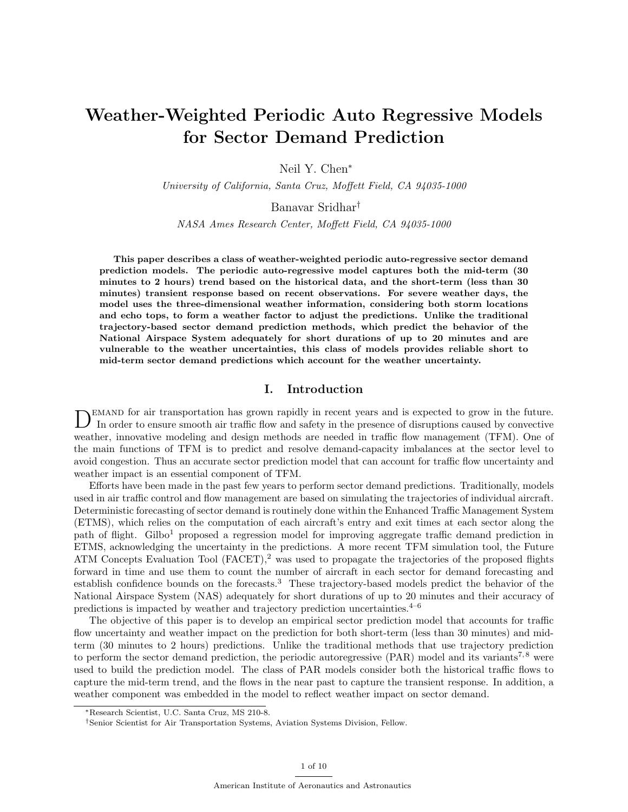# Weather-Weighted Periodic Auto Regressive Models for Sector Demand Prediction

Neil Y. Chen<sup>∗</sup>

University of California, Santa Cruz, Moffett Field, CA 94035-1000

Banavar Sridhar†

NASA Ames Research Center, Moffett Field, CA 94035-1000

This paper describes a class of weather-weighted periodic auto-regressive sector demand prediction models. The periodic auto-regressive model captures both the mid-term (30 minutes to 2 hours) trend based on the historical data, and the short-term (less than 30 minutes) transient response based on recent observations. For severe weather days, the model uses the three-dimensional weather information, considering both storm locations and echo tops, to form a weather factor to adjust the predictions. Unlike the traditional trajectory-based sector demand prediction methods, which predict the behavior of the National Airspace System adequately for short durations of up to 20 minutes and are vulnerable to the weather uncertainties, this class of models provides reliable short to mid-term sector demand predictions which account for the weather uncertainty.

## I. Introduction

DEMAND for air transportation has grown rapidly in recent years and is expected to grow in the future.<br>In order to ensure smooth air traffic flow and safety in the presence of disruptions caused by convective emand for air transportation has grown rapidly in recent years and is expected to grow in the future. weather, innovative modeling and design methods are needed in traffic flow management (TFM). One of the main functions of TFM is to predict and resolve demand-capacity imbalances at the sector level to avoid congestion. Thus an accurate sector prediction model that can account for traffic flow uncertainty and weather impact is an essential component of TFM.

Efforts have been made in the past few years to perform sector demand predictions. Traditionally, models used in air traffic control and flow management are based on simulating the trajectories of individual aircraft. Deterministic forecasting of sector demand is routinely done within the Enhanced Traffic Management System (ETMS), which relies on the computation of each aircraft's entry and exit times at each sector along the path of flight. Gilbo<sup>1</sup> proposed a regression model for improving aggregate traffic demand prediction in ETMS, acknowledging the uncertainty in the predictions. A more recent TFM simulation tool, the Future ATM Concepts Evaluation Tool  $(FACET)$ ,<sup>2</sup> was used to propagate the trajectories of the proposed flights forward in time and use them to count the number of aircraft in each sector for demand forecasting and establish confidence bounds on the forecasts.<sup>3</sup> These trajectory-based models predict the behavior of the National Airspace System (NAS) adequately for short durations of up to 20 minutes and their accuracy of predictions is impacted by weather and trajectory prediction uncertainties. $4-6$ 

The objective of this paper is to develop an empirical sector prediction model that accounts for traffic flow uncertainty and weather impact on the prediction for both short-term (less than 30 minutes) and midterm (30 minutes to 2 hours) predictions. Unlike the traditional methods that use trajectory prediction to perform the sector demand prediction, the periodic autoregressive (PAR) model and its variants<sup>7,8</sup> were used to build the prediction model. The class of PAR models consider both the historical traffic flows to capture the mid-term trend, and the flows in the near past to capture the transient response. In addition, a weather component was embedded in the model to reflect weather impact on sector demand.

<sup>∗</sup>Research Scientist, U.C. Santa Cruz, MS 210-8.

<sup>†</sup>Senior Scientist for Air Transportation Systems, Aviation Systems Division, Fellow.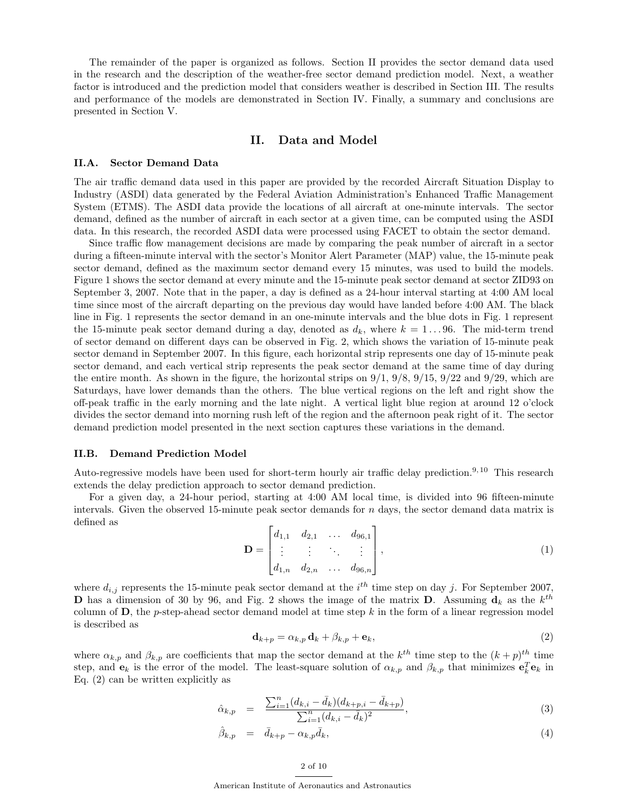The remainder of the paper is organized as follows. Section II provides the sector demand data used in the research and the description of the weather-free sector demand prediction model. Next, a weather factor is introduced and the prediction model that considers weather is described in Section III. The results and performance of the models are demonstrated in Section IV. Finally, a summary and conclusions are presented in Section V.

## II. Data and Model

### II.A. Sector Demand Data

The air traffic demand data used in this paper are provided by the recorded Aircraft Situation Display to Industry (ASDI) data generated by the Federal Aviation Administration's Enhanced Traffic Management System (ETMS). The ASDI data provide the locations of all aircraft at one-minute intervals. The sector demand, defined as the number of aircraft in each sector at a given time, can be computed using the ASDI data. In this research, the recorded ASDI data were processed using FACET to obtain the sector demand.

Since traffic flow management decisions are made by comparing the peak number of aircraft in a sector during a fifteen-minute interval with the sector's Monitor Alert Parameter (MAP) value, the 15-minute peak sector demand, defined as the maximum sector demand every 15 minutes, was used to build the models. Figure 1 shows the sector demand at every minute and the 15-minute peak sector demand at sector ZID93 on September 3, 2007. Note that in the paper, a day is defined as a 24-hour interval starting at 4:00 AM local time since most of the aircraft departing on the previous day would have landed before 4:00 AM. The black line in Fig. 1 represents the sector demand in an one-minute intervals and the blue dots in Fig. 1 represent the 15-minute peak sector demand during a day, denoted as  $d_k$ , where  $k = 1...96$ . The mid-term trend of sector demand on different days can be observed in Fig. 2, which shows the variation of 15-minute peak sector demand in September 2007. In this figure, each horizontal strip represents one day of 15-minute peak sector demand, and each vertical strip represents the peak sector demand at the same time of day during the entire month. As shown in the figure, the horizontal strips on  $9/1$ ,  $9/8$ ,  $9/15$ ,  $9/22$  and  $9/29$ , which are Saturdays, have lower demands than the others. The blue vertical regions on the left and right show the off-peak traffic in the early morning and the late night. A vertical light blue region at around 12 o'clock divides the sector demand into morning rush left of the region and the afternoon peak right of it. The sector demand prediction model presented in the next section captures these variations in the demand.

#### II.B. Demand Prediction Model

Auto-regressive models have been used for short-term hourly air traffic delay prediction.<sup>9, 10</sup> This research extends the delay prediction approach to sector demand prediction.

For a given day, a 24-hour period, starting at 4:00 AM local time, is divided into 96 fifteen-minute intervals. Given the observed 15-minute peak sector demands for  $n$  days, the sector demand data matrix is defined as

$$
\mathbf{D} = \begin{bmatrix} d_{1,1} & d_{2,1} & \dots & d_{96,1} \\ \vdots & \vdots & \ddots & \vdots \\ d_{1,n} & d_{2,n} & \dots & d_{96,n} \end{bmatrix},
$$
(1)

where  $d_{i,j}$  represents the 15-minute peak sector demand at the  $i^{th}$  time step on day j. For September 2007, **D** has a dimension of 30 by 96, and Fig. 2 shows the image of the matrix **D**. Assuming  $\mathbf{d}_k$  as the  $k^{th}$ column of  $\mathbf{D}$ , the p-step-ahead sector demand model at time step k in the form of a linear regression model is described as

$$
\mathbf{d}_{k+p} = \alpha_{k,p} \, \mathbf{d}_k + \beta_{k,p} + \mathbf{e}_k,\tag{2}
$$

where  $\alpha_{k,p}$  and  $\beta_{k,p}$  are coefficients that map the sector demand at the  $k^{th}$  time step to the  $(k+p)^{th}$  time step, and  $e_k$  is the error of the model. The least-square solution of  $\alpha_{k,p}$  and  $\beta_{k,p}$  that minimizes  $e_k^T e_k$  in Eq. (2) can be written explicitly as

$$
\hat{\alpha}_{k,p} = \frac{\sum_{i=1}^{n} (d_{k,i} - \bar{d}_k)(d_{k+p,i} - \bar{d}_{k+p})}{\sum_{i=1}^{n} (d_{k,i} - \bar{d}_k)^2},
$$
\n(3)

$$
\hat{\beta}_{k,p} = \bar{d}_{k+p} - \alpha_{k,p}\bar{d}_k,\tag{4}
$$

#### 2 of 10

American Institute of Aeronautics and Astronautics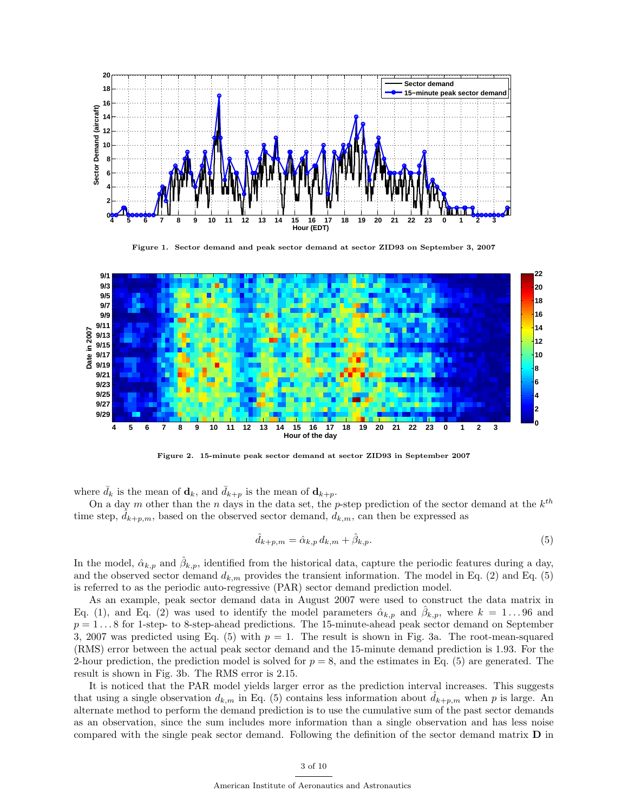

Figure 1. Sector demand and peak sector demand at sector ZID93 on September 3, 2007



Figure 2. 15-minute peak sector demand at sector ZID93 in September 2007

where  $d_k$  is the mean of  $\mathbf{d}_k$ , and  $d_{k+p}$  is the mean of  $\mathbf{d}_{k+p}$ .

On a day m other than the n days in the data set, the p-step prediction of the sector demand at the  $k^{th}$ time step,  $d_{k+p,m}$ , based on the observed sector demand,  $d_{k,m}$ , can then be expressed as

$$
\hat{d}_{k+p,m} = \hat{\alpha}_{k,p} d_{k,m} + \hat{\beta}_{k,p}.\tag{5}
$$

In the model,  $\hat{\alpha}_{k,p}$  and  $\hat{\beta}_{k,p}$ , identified from the historical data, capture the periodic features during a day, and the observed sector demand  $d_{k,m}$  provides the transient information. The model in Eq. (2) and Eq. (5) is referred to as the periodic auto-regressive (PAR) sector demand prediction model.

As an example, peak sector demand data in August 2007 were used to construct the data matrix in Eq. (1), and Eq. (2) was used to identify the model parameters  $\hat{\alpha}_{k,p}$  and  $\hat{\beta}_{k,p}$ , where  $k = 1...96$  and  $p = 1 \dots 8$  for 1-step- to 8-step-ahead predictions. The 15-minute-ahead peak sector demand on September 3, 2007 was predicted using Eq. (5) with  $p = 1$ . The result is shown in Fig. 3a. The root-mean-squared (RMS) error between the actual peak sector demand and the 15-minute demand prediction is 1.93. For the 2-hour prediction, the prediction model is solved for  $p = 8$ , and the estimates in Eq. (5) are generated. The result is shown in Fig. 3b. The RMS error is 2.15.

It is noticed that the PAR model yields larger error as the prediction interval increases. This suggests that using a single observation  $d_{k,m}$  in Eq. (5) contains less information about  $d_{k+p,m}$  when p is large. An alternate method to perform the demand prediction is to use the cumulative sum of the past sector demands as an observation, since the sum includes more information than a single observation and has less noise compared with the single peak sector demand. Following the definition of the sector demand matrix D in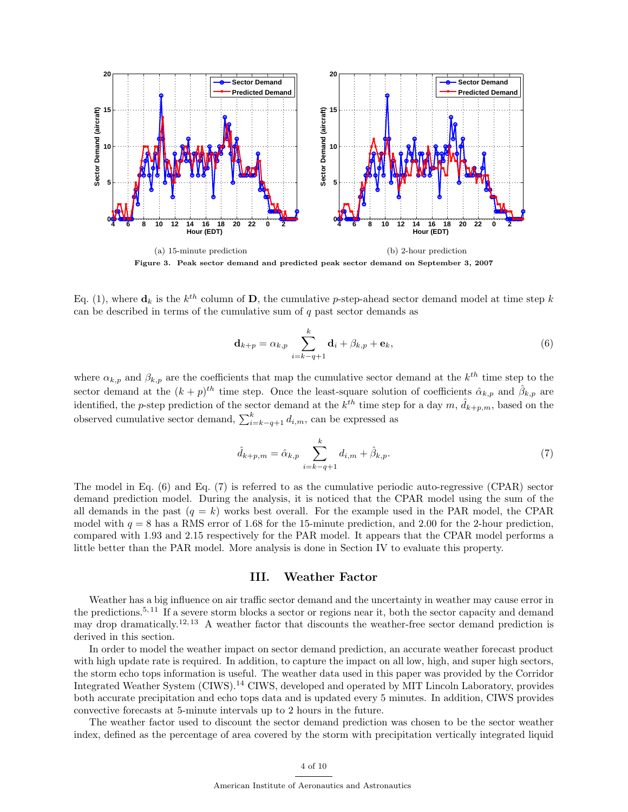

Eq. (1), where  $\mathbf{d}_k$  is the  $k^{th}$  column of **D**, the cumulative p-step-ahead sector demand model at time step k can be described in terms of the cumulative sum of  $q$  past sector demands as

$$
\mathbf{d}_{k+p} = \alpha_{k,p} \sum_{i=k-q+1}^{k} \mathbf{d}_i + \beta_{k,p} + \mathbf{e}_k,
$$
\n(6)

where  $\alpha_{k,p}$  and  $\beta_{k,p}$  are the coefficients that map the cumulative sector demand at the  $k^{th}$  time step to the sector demand at the  $(k+p)^{th}$  time step. Once the least-square solution of coefficients  $\hat{\alpha}_{k,p}$  and  $\hat{\beta}_{k,p}$  are identified, the p-step prediction of the sector demand at the  $k^{th}$  time step for a day  $m$ ,  $\hat{d}_{k+p,m}$ , based on the observed cumulative sector demand,  $\sum_{i=k-q+1}^{k} d_{i,m}$ , can be expressed as

$$
\hat{d}_{k+p,m} = \hat{\alpha}_{k,p} \sum_{i=k-q+1}^{k} d_{i,m} + \hat{\beta}_{k,p}.
$$
 (7)

The model in Eq. (6) and Eq. (7) is referred to as the cumulative periodic auto-regressive (CPAR) sector demand prediction model. During the analysis, it is noticed that the CPAR model using the sum of the all demands in the past  $(q = k)$  works best overall. For the example used in the PAR model, the CPAR model with  $q = 8$  has a RMS error of 1.68 for the 15-minute prediction, and 2.00 for the 2-hour prediction, compared with 1.93 and 2.15 respectively for the PAR model. It appears that the CPAR model performs a little better than the PAR model. More analysis is done in Section IV to evaluate this property.

## III. Weather Factor

Weather has a big influence on air traffic sector demand and the uncertainty in weather may cause error in the predictions.5, 11 If a severe storm blocks a sector or regions near it, both the sector capacity and demand may drop dramatically.<sup>12, 13</sup> A weather factor that discounts the weather-free sector demand prediction is derived in this section.

In order to model the weather impact on sector demand prediction, an accurate weather forecast product with high update rate is required. In addition, to capture the impact on all low, high, and super high sectors, the storm echo tops information is useful. The weather data used in this paper was provided by the Corridor Integrated Weather System (CIWS).<sup>14</sup> CIWS, developed and operated by MIT Lincoln Laboratory, provides both accurate precipitation and echo tops data and is updated every 5 minutes. In addition, CIWS provides convective forecasts at 5-minute intervals up to 2 hours in the future.

The weather factor used to discount the sector demand prediction was chosen to be the sector weather index, defined as the percentage of area covered by the storm with precipitation vertically integrated liquid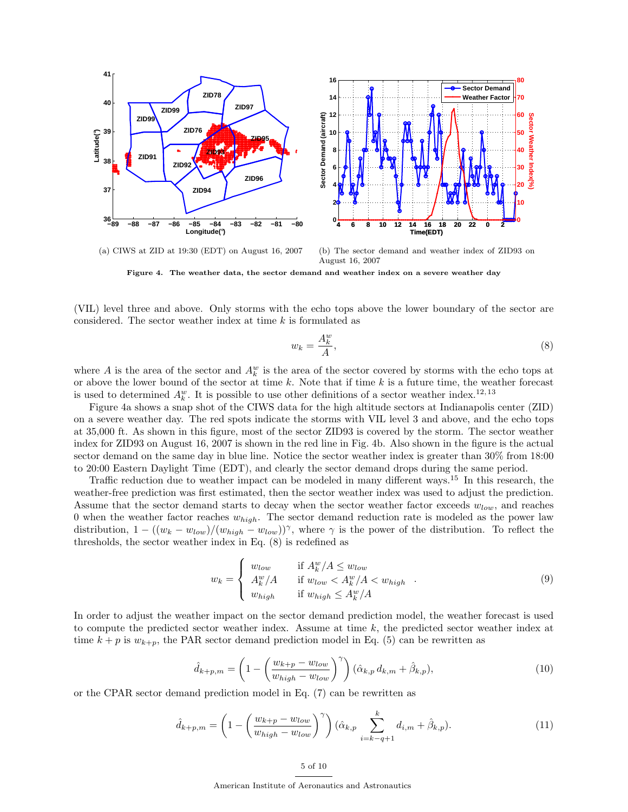

(a) CIWS at ZID at 19:30 (EDT) on August 16, 2007

(b) The sector demand and weather index of ZID93 on August 16, 2007

Figure 4. The weather data, the sector demand and weather index on a severe weather day

(VIL) level three and above. Only storms with the echo tops above the lower boundary of the sector are considered. The sector weather index at time  $k$  is formulated as

$$
w_k = \frac{A_k^w}{A},\tag{8}
$$

where A is the area of the sector and  $A_k^w$  is the area of the sector covered by storms with the echo tops at or above the lower bound of the sector at time  $k$ . Note that if time  $k$  is a future time, the weather forecast is used to determined  $A_k^w$ . It is possible to use other definitions of a sector weather index.<sup>12,13</sup>

Figure 4a shows a snap shot of the CIWS data for the high altitude sectors at Indianapolis center (ZID) on a severe weather day. The red spots indicate the storms with VIL level 3 and above, and the echo tops at 35,000 ft. As shown in this figure, most of the sector ZID93 is covered by the storm. The sector weather index for ZID93 on August 16, 2007 is shown in the red line in Fig. 4b. Also shown in the figure is the actual sector demand on the same day in blue line. Notice the sector weather index is greater than  $30\%$  from 18:00 to 20:00 Eastern Daylight Time (EDT), and clearly the sector demand drops during the same period.

Traffic reduction due to weather impact can be modeled in many different ways.<sup>15</sup> In this research, the weather-free prediction was first estimated, then the sector weather index was used to adjust the prediction. Assume that the sector demand starts to decay when the sector weather factor exceeds  $w_{low}$ , and reaches 0 when the weather factor reaches  $w_{high}$ . The sector demand reduction rate is modeled as the power law distribution,  $1 - ((w_k - w_{low})/(w_{high} - w_{low}))^{\gamma}$ , where  $\gamma$  is the power of the distribution. To reflect the thresholds, the sector weather index in Eq. (8) is redefined as

$$
w_k = \begin{cases} w_{low} & \text{if } A_k^w / A \le w_{low} \\ A_k^w / A & \text{if } w_{low} < A_k^w / A < w_{high} \\ w_{high} & \text{if } w_{high} \le A_k^w / A \end{cases} \tag{9}
$$

In order to adjust the weather impact on the sector demand prediction model, the weather forecast is used to compute the predicted sector weather index. Assume at time  $k$ , the predicted sector weather index at time  $k + p$  is  $w_{k+p}$ , the PAR sector demand prediction model in Eq. (5) can be rewritten as

$$
\hat{d}_{k+p,m} = \left(1 - \left(\frac{w_{k+p} - w_{low}}{w_{high} - w_{low}}\right)^{\gamma}\right) (\hat{\alpha}_{k,p} d_{k,m} + \hat{\beta}_{k,p}),\tag{10}
$$

or the CPAR sector demand prediction model in Eq. (7) can be rewritten as

$$
\hat{d}_{k+p,m} = \left(1 - \left(\frac{w_{k+p} - w_{low}}{w_{high} - w_{low}}\right)^{\gamma}\right)(\hat{\alpha}_{k,p} \sum_{i=k-q+1}^{k} d_{i,m} + \hat{\beta}_{k,p}).
$$
\n(11)

5 of 10

American Institute of Aeronautics and Astronautics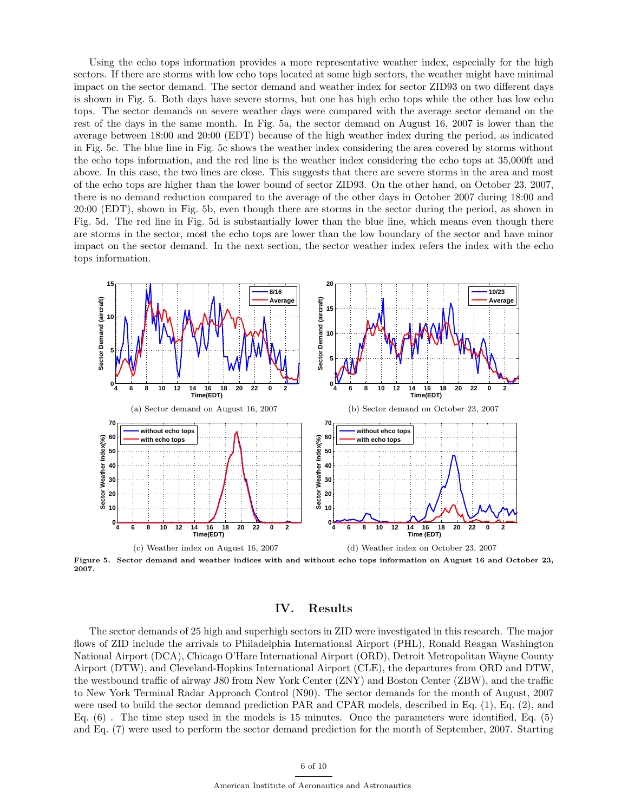Using the echo tops information provides a more representative weather index, especially for the high sectors. If there are storms with low echo tops located at some high sectors, the weather might have minimal impact on the sector demand. The sector demand and weather index for sector ZID93 on two different days is shown in Fig. 5. Both days have severe storms, but one has high echo tops while the other has low echo tops. The sector demands on severe weather days were compared with the average sector demand on the rest of the days in the same month. In Fig. 5a, the sector demand on August 16, 2007 is lower than the average between 18:00 and 20:00 (EDT) because of the high weather index during the period, as indicated in Fig. 5c. The blue line in Fig. 5c shows the weather index considering the area covered by storms without the echo tops information, and the red line is the weather index considering the echo tops at 35,000ft and above. In this case, the two lines are close. This suggests that there are severe storms in the area and most of the echo tops are higher than the lower bound of sector ZID93. On the other hand, on October 23, 2007, there is no demand reduction compared to the average of the other days in October 2007 during 18:00 and 20:00 (EDT), shown in Fig. 5b, even though there are storms in the sector during the period, as shown in Fig. 5d. The red line in Fig. 5d is substantially lower than the blue line, which means even though there are storms in the sector, most the echo tops are lower than the low boundary of the sector and have minor impact on the sector demand. In the next section, the sector weather index refers the index with the echo tops information.



Figure 5. Sector demand and weather indices with and without echo tops information on August 16 and October 23, 2007.

## IV. Results

The sector demands of 25 high and superhigh sectors in ZID were investigated in this research. The major flows of ZID include the arrivals to Philadelphia International Airport (PHL), Ronald Reagan Washington National Airport (DCA), Chicago O'Hare International Airport (ORD), Detroit Metropolitan Wayne County Airport (DTW), and Cleveland-Hopkins International Airport (CLE), the departures from ORD and DTW, the westbound traffic of airway J80 from New York Center (ZNY) and Boston Center (ZBW), and the traffic to New York Terminal Radar Approach Control (N90). The sector demands for the month of August, 2007 were used to build the sector demand prediction PAR and CPAR models, described in Eq. (1), Eq. (2), and Eq. (6) . The time step used in the models is 15 minutes. Once the parameters were identified, Eq. (5) and Eq. (7) were used to perform the sector demand prediction for the month of September, 2007. Starting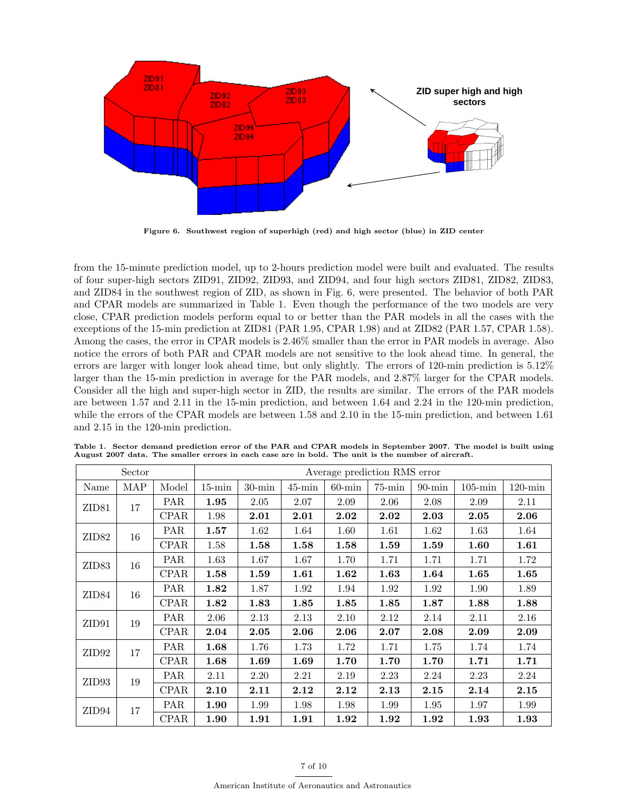

Figure 6. Southwest region of superhigh (red) and high sector (blue) in ZID center

from the 15-minute prediction model, up to 2-hours prediction model were built and evaluated. The results of four super-high sectors ZID91, ZID92, ZID93, and ZID94, and four high sectors ZID81, ZID82, ZID83, and ZID84 in the southwest region of ZID, as shown in Fig. 6, were presented. The behavior of both PAR and CPAR models are summarized in Table 1. Even though the performance of the two models are very close, CPAR prediction models perform equal to or better than the PAR models in all the cases with the exceptions of the 15-min prediction at ZID81 (PAR 1.95, CPAR 1.98) and at ZID82 (PAR 1.57, CPAR 1.58). Among the cases, the error in CPAR models is 2.46% smaller than the error in PAR models in average. Also notice the errors of both PAR and CPAR models are not sensitive to the look ahead time. In general, the errors are larger with longer look ahead time, but only slightly. The errors of 120-min prediction is 5.12% larger than the 15-min prediction in average for the PAR models, and 2.87% larger for the CPAR models. Consider all the high and super-high sector in ZID, the results are similar. The errors of the PAR models are between 1.57 and 2.11 in the 15-min prediction, and between 1.64 and 2.24 in the 120-min prediction, while the errors of the CPAR models are between 1.58 and 2.10 in the 15-min prediction, and between 1.61 and 2.15 in the 120-min prediction.

| Sector            |     |             | Average prediction RMS error |           |           |           |           |           |            |            |
|-------------------|-----|-------------|------------------------------|-----------|-----------|-----------|-----------|-----------|------------|------------|
| Name              | MAP | Model       | $15$ -min                    | $30$ -min | $45$ -min | $60$ -min | $75$ -min | $90$ -min | $105$ -min | $120$ -min |
| ZID <sub>81</sub> | 17  | <b>PAR</b>  | 1.95                         | 2.05      | 2.07      | 2.09      | 2.06      | 2.08      | 2.09       | 2.11       |
|                   |     | <b>CPAR</b> | 1.98                         | 2.01      | 2.01      | $2.02\,$  | 2.02      | 2.03      | 2.05       | 2.06       |
| ZID <sub>82</sub> | 16  | <b>PAR</b>  | 1.57                         | 1.62      | 1.64      | 1.60      | 1.61      | 1.62      | 1.63       | 1.64       |
|                   |     | <b>CPAR</b> | 1.58                         | 1.58      | 1.58      | 1.58      | 1.59      | 1.59      | 1.60       | 1.61       |
| ZID <sub>83</sub> | 16  | <b>PAR</b>  | 1.63                         | 1.67      | 1.67      | 1.70      | 1.71      | 1.71      | 1.71       | 1.72       |
|                   |     | CPAR        | 1.58                         | 1.59      | 1.61      | 1.62      | 1.63      | 1.64      | 1.65       | 1.65       |
| ZID84             | 16  | PAR         | 1.82                         | 1.87      | 1.92      | 1.94      | 1.92      | 1.92      | 1.90       | 1.89       |
|                   |     | <b>CPAR</b> | $1.82\,$                     | 1.83      | 1.85      | 1.85      | 1.85      | 1.87      | 1.88       | 1.88       |
| ZID91             | 19  | PAR         | 2.06                         | 2.13      | 2.13      | 2.10      | 2.12      | 2.14      | 2.11       | 2.16       |
|                   |     | CPAR        | 2.04                         | 2.05      | 2.06      | 2.06      | 2.07      | 2.08      | 2.09       | 2.09       |
| ZID92             | 17  | <b>PAR</b>  | 1.68                         | 1.76      | 1.73      | 1.72      | 1.71      | 1.75      | 1.74       | 1.74       |
|                   |     | <b>CPAR</b> | 1.68                         | 1.69      | 1.69      | 1.70      | 1.70      | 1.70      | 1.71       | 1.71       |
| ZID <sub>93</sub> | 19  | <b>PAR</b>  | 2.11                         | 2.20      | 2.21      | 2.19      | 2.23      | 2.24      | 2.23       | 2.24       |
|                   |     | CPAR        | 2.10                         | 2.11      | 2.12      | 2.12      | 2.13      | 2.15      | 2.14       | 2.15       |
| ZID94             | 17  | <b>PAR</b>  | 1.90                         | 1.99      | 1.98      | 1.98      | 1.99      | 1.95      | 1.97       | 1.99       |
|                   |     | CPAR        | 1.90                         | 1.91      | 1.91      | 1.92      | 1.92      | 1.92      | 1.93       | 1.93       |

Table 1. Sector demand prediction error of the PAR and CPAR models in September 2007. The model is built using August 2007 data. The smaller errors in each case are in bold. The unit is the number of aircraft.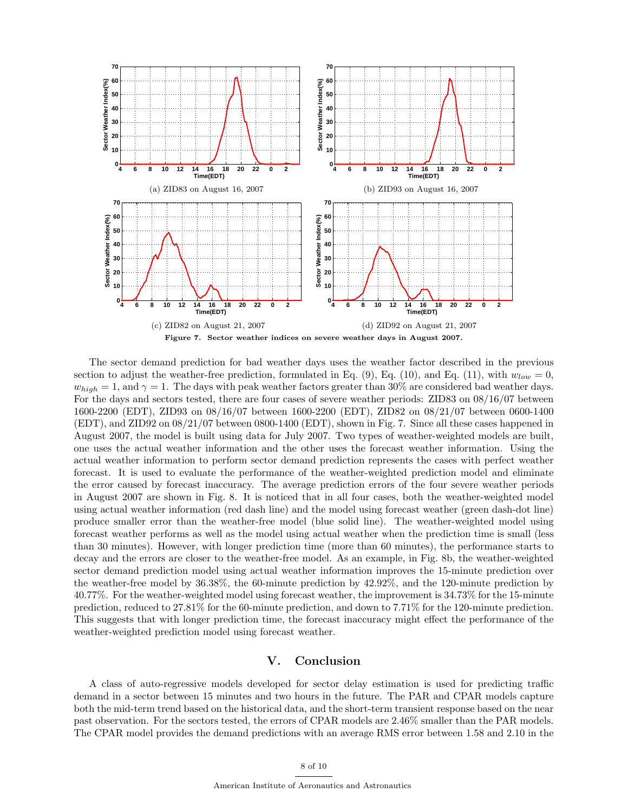

The sector demand prediction for bad weather days uses the weather factor described in the previous section to adjust the weather-free prediction, formulated in Eq. (9), Eq. (10), and Eq. (11), with  $w_{low} = 0$ ,  $w_{high} = 1$ , and  $\gamma = 1$ . The days with peak weather factors greater than 30% are considered bad weather days. For the days and sectors tested, there are four cases of severe weather periods: ZID83 on 08/16/07 between 1600-2200 (EDT), ZID93 on 08/16/07 between 1600-2200 (EDT), ZID82 on 08/21/07 between 0600-1400 (EDT), and ZID92 on 08/21/07 between 0800-1400 (EDT), shown in Fig. 7. Since all these cases happened in August 2007, the model is built using data for July 2007. Two types of weather-weighted models are built, one uses the actual weather information and the other uses the forecast weather information. Using the actual weather information to perform sector demand prediction represents the cases with perfect weather forecast. It is used to evaluate the performance of the weather-weighted prediction model and eliminate the error caused by forecast inaccuracy. The average prediction errors of the four severe weather periods in August 2007 are shown in Fig. 8. It is noticed that in all four cases, both the weather-weighted model using actual weather information (red dash line) and the model using forecast weather (green dash-dot line) produce smaller error than the weather-free model (blue solid line). The weather-weighted model using forecast weather performs as well as the model using actual weather when the prediction time is small (less than 30 minutes). However, with longer prediction time (more than 60 minutes), the performance starts to decay and the errors are closer to the weather-free model. As an example, in Fig. 8b, the weather-weighted sector demand prediction model using actual weather information improves the 15-minute prediction over the weather-free model by 36.38%, the 60-minute prediction by 42.92%, and the 120-minute prediction by 40.77%. For the weather-weighted model using forecast weather, the improvement is 34.73% for the 15-minute prediction, reduced to 27.81% for the 60-minute prediction, and down to 7.71% for the 120-minute prediction. This suggests that with longer prediction time, the forecast inaccuracy might effect the performance of the weather-weighted prediction model using forecast weather.

## V. Conclusion

A class of auto-regressive models developed for sector delay estimation is used for predicting traffic demand in a sector between 15 minutes and two hours in the future. The PAR and CPAR models capture both the mid-term trend based on the historical data, and the short-term transient response based on the near past observation. For the sectors tested, the errors of CPAR models are 2.46% smaller than the PAR models. The CPAR model provides the demand predictions with an average RMS error between 1.58 and 2.10 in the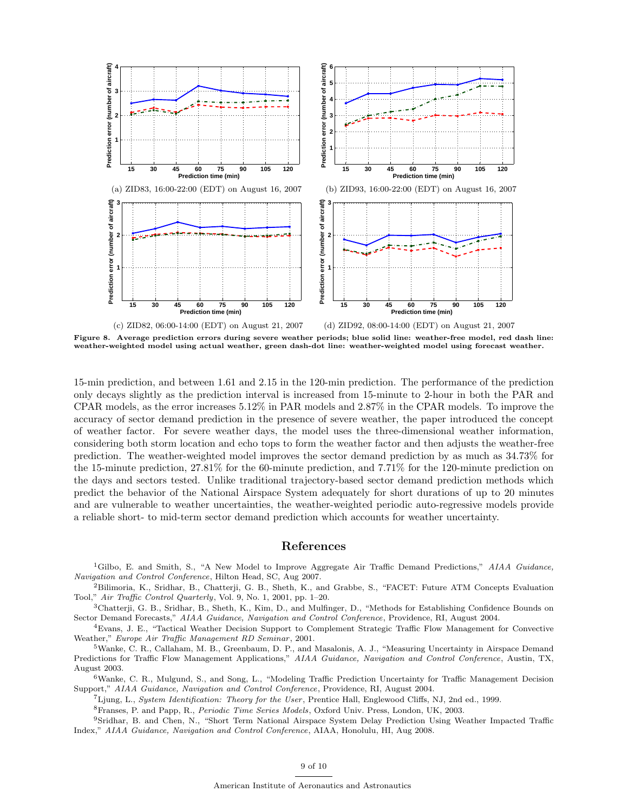

Figure 8. Average prediction errors during severe weather periods; blue solid line: weather-free model, red dash line: weather-weighted model using actual weather, green dash-dot line: weather-weighted model using forecast weather.

15-min prediction, and between 1.61 and 2.15 in the 120-min prediction. The performance of the prediction only decays slightly as the prediction interval is increased from 15-minute to 2-hour in both the PAR and CPAR models, as the error increases 5.12% in PAR models and 2.87% in the CPAR models. To improve the accuracy of sector demand prediction in the presence of severe weather, the paper introduced the concept of weather factor. For severe weather days, the model uses the three-dimensional weather information, considering both storm location and echo tops to form the weather factor and then adjusts the weather-free prediction. The weather-weighted model improves the sector demand prediction by as much as 34.73% for the 15-minute prediction, 27.81% for the 60-minute prediction, and 7.71% for the 120-minute prediction on the days and sectors tested. Unlike traditional trajectory-based sector demand prediction methods which predict the behavior of the National Airspace System adequately for short durations of up to 20 minutes and are vulnerable to weather uncertainties, the weather-weighted periodic auto-regressive models provide a reliable short- to mid-term sector demand prediction which accounts for weather uncertainty.

### References

<sup>1</sup>Gilbo, E. and Smith, S., "A New Model to Improve Aggregate Air Traffic Demand Predictions," AIAA Guidance, Navigation and Control Conference, Hilton Head, SC, Aug 2007.

<sup>2</sup>Bilimoria, K., Sridhar, B., Chatterji, G. B., Sheth, K., and Grabbe, S., "FACET: Future ATM Concepts Evaluation Tool," Air Traffic Control Quarterly, Vol. 9, No. 1, 2001, pp. 1–20.

<sup>3</sup>Chatterji, G. B., Sridhar, B., Sheth, K., Kim, D., and Mulfinger, D., "Methods for Establishing Confidence Bounds on Sector Demand Forecasts," AIAA Guidance, Navigation and Control Conference, Providence, RI, August 2004.

<sup>4</sup>Evans, J. E., "Tactical Weather Decision Support to Complement Strategic Traffic Flow Management for Convective Weather," Europe Air Traffic Management RD Seminar, 2001.

<sup>5</sup>Wanke, C. R., Callaham, M. B., Greenbaum, D. P., and Masalonis, A. J., "Measuring Uncertainty in Airspace Demand Predictions for Traffic Flow Management Applications," AIAA Guidance, Navigation and Control Conference, Austin, TX, August 2003.

<sup>6</sup>Wanke, C. R., Mulgund, S., and Song, L., "Modeling Traffic Prediction Uncertainty for Traffic Management Decision Support," AIAA Guidance, Navigation and Control Conference, Providence, RI, August 2004.

<sup>7</sup>Ljung, L., System Identification: Theory for the User, Prentice Hall, Englewood Cliffs, NJ, 2nd ed., 1999.

<sup>8</sup>Franses, P. and Papp, R., Periodic Time Series Models, Oxford Univ. Press, London, UK, 2003.

<sup>9</sup>Sridhar, B. and Chen, N., "Short Term National Airspace System Delay Prediction Using Weather Impacted Traffic Index," AIAA Guidance, Navigation and Control Conference, AIAA, Honolulu, HI, Aug 2008.